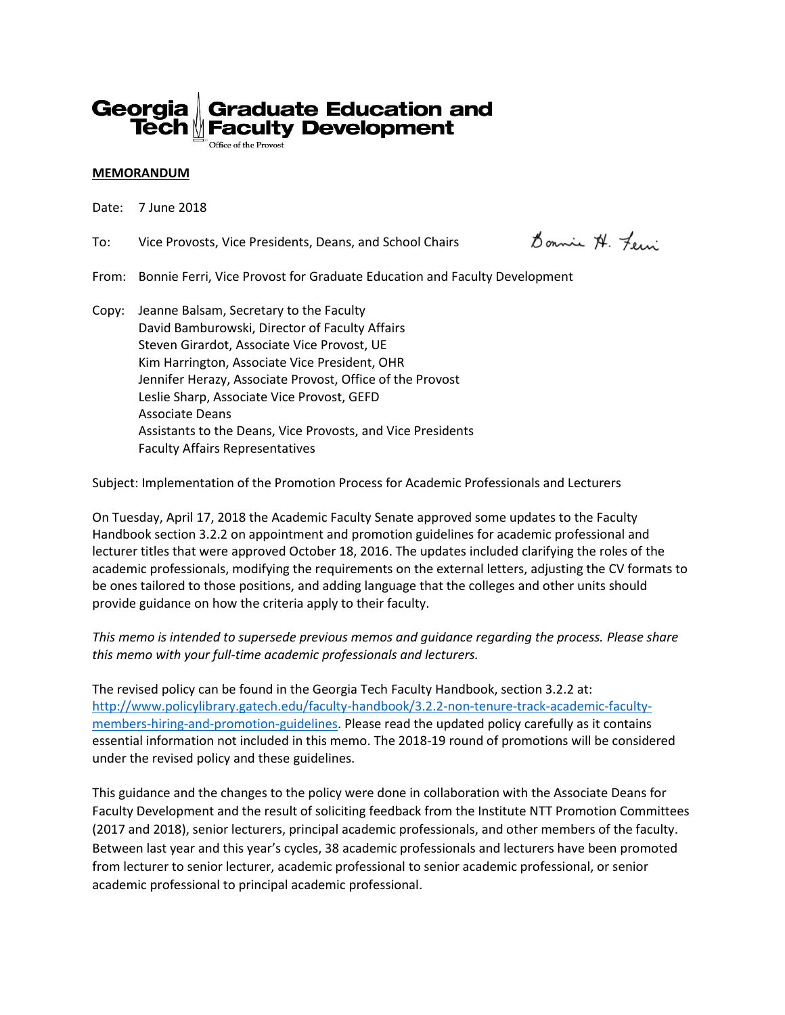

#### **MEMORANDUM**

Date: 7 June 2018

To: Vice Provosts, Vice Presidents, Deans, and School Chairs

Donnie N. Few

From: Bonnie Ferri, Vice Provost for Graduate Education and Faculty Development

Copy: Jeanne Balsam, Secretary to the Faculty David Bamburowski, Director of Faculty Affairs Steven Girardot, Associate Vice Provost, UE Kim Harrington, Associate Vice President, OHR Jennifer Herazy, Associate Provost, Office of the Provost Leslie Sharp, Associate Vice Provost, GEFD Associate Deans Assistants to the Deans, Vice Provosts, and Vice Presidents Faculty Affairs Representatives

Subject: Implementation of the Promotion Process for Academic Professionals and Lecturers

On Tuesday, April 17, 2018 the Academic Faculty Senate approved some updates to the Faculty Handbook section 3.2.2 on appointment and promotion guidelines for academic professional and lecturer titles that were approved October 18, 2016. The updates included clarifying the roles of the academic professionals, modifying the requirements on the external letters, adjusting the CV formats to be ones tailored to those positions, and adding language that the colleges and other units should provide guidance on how the criteria apply to their faculty.

*This memo is intended to supersede previous memos and guidance regarding the process. Please share this memo with your full-time academic professionals and lecturers.*

The revised policy can be found in the Georgia Tech Faculty Handbook, section 3.2.2 at: [http://www.policylibrary.gatech.edu/faculty-handbook/3.2.2-non-tenure-track-academic-faculty](http://www.policylibrary.gatech.edu/faculty-handbook/3.2.2-non-tenure-track-academic-faculty-members-hiring-and-promotion-guidelines)[members-hiring-and-promotion-guidelines.](http://www.policylibrary.gatech.edu/faculty-handbook/3.2.2-non-tenure-track-academic-faculty-members-hiring-and-promotion-guidelines) Please read the updated policy carefully as it contains essential information not included in this memo. The 2018-19 round of promotions will be considered under the revised policy and these guidelines.

This guidance and the changes to the policy were done in collaboration with the Associate Deans for Faculty Development and the result of soliciting feedback from the Institute NTT Promotion Committees (2017 and 2018), senior lecturers, principal academic professionals, and other members of the faculty. Between last year and this year's cycles, 38 academic professionals and lecturers have been promoted from lecturer to senior lecturer, academic professional to senior academic professional, or senior academic professional to principal academic professional.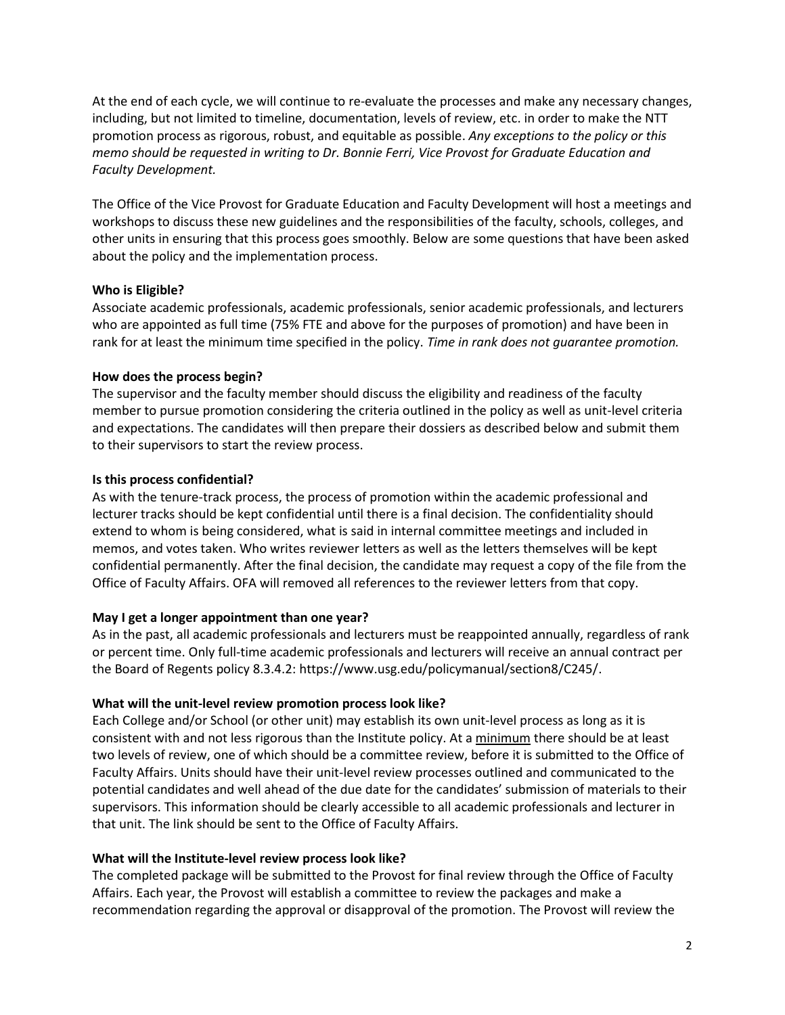At the end of each cycle, we will continue to re-evaluate the processes and make any necessary changes, including, but not limited to timeline, documentation, levels of review, etc. in order to make the NTT promotion process as rigorous, robust, and equitable as possible. *Any exceptions to the policy or this memo should be requested in writing to Dr. Bonnie Ferri, Vice Provost for Graduate Education and Faculty Development.*

The Office of the Vice Provost for Graduate Education and Faculty Development will host a meetings and workshops to discuss these new guidelines and the responsibilities of the faculty, schools, colleges, and other units in ensuring that this process goes smoothly. Below are some questions that have been asked about the policy and the implementation process.

# **Who is Eligible?**

Associate academic professionals, academic professionals, senior academic professionals, and lecturers who are appointed as full time (75% FTE and above for the purposes of promotion) and have been in rank for at least the minimum time specified in the policy. *Time in rank does not guarantee promotion.*

# **How does the process begin?**

The supervisor and the faculty member should discuss the eligibility and readiness of the faculty member to pursue promotion considering the criteria outlined in the policy as well as unit-level criteria and expectations. The candidates will then prepare their dossiers as described below and submit them to their supervisors to start the review process.

# **Is this process confidential?**

As with the tenure-track process, the process of promotion within the academic professional and lecturer tracks should be kept confidential until there is a final decision. The confidentiality should extend to whom is being considered, what is said in internal committee meetings and included in memos, and votes taken. Who writes reviewer letters as well as the letters themselves will be kept confidential permanently. After the final decision, the candidate may request a copy of the file from the Office of Faculty Affairs. OFA will removed all references to the reviewer letters from that copy.

# **May I get a longer appointment than one year?**

As in the past, all academic professionals and lecturers must be reappointed annually, regardless of rank or percent time. Only full-time academic professionals and lecturers will receive an annual contract per the Board of Regents policy 8.3.4.2: https://www.usg.edu/policymanual/section8/C245/.

## **What will the unit-level review promotion process look like?**

Each College and/or School (or other unit) may establish its own unit-level process as long as it is consistent with and not less rigorous than the Institute policy. At a minimum there should be at least two levels of review, one of which should be a committee review, before it is submitted to the Office of Faculty Affairs. Units should have their unit-level review processes outlined and communicated to the potential candidates and well ahead of the due date for the candidates' submission of materials to their supervisors. This information should be clearly accessible to all academic professionals and lecturer in that unit. The link should be sent to the Office of Faculty Affairs.

## **What will the Institute-level review process look like?**

The completed package will be submitted to the Provost for final review through the Office of Faculty Affairs. Each year, the Provost will establish a committee to review the packages and make a recommendation regarding the approval or disapproval of the promotion. The Provost will review the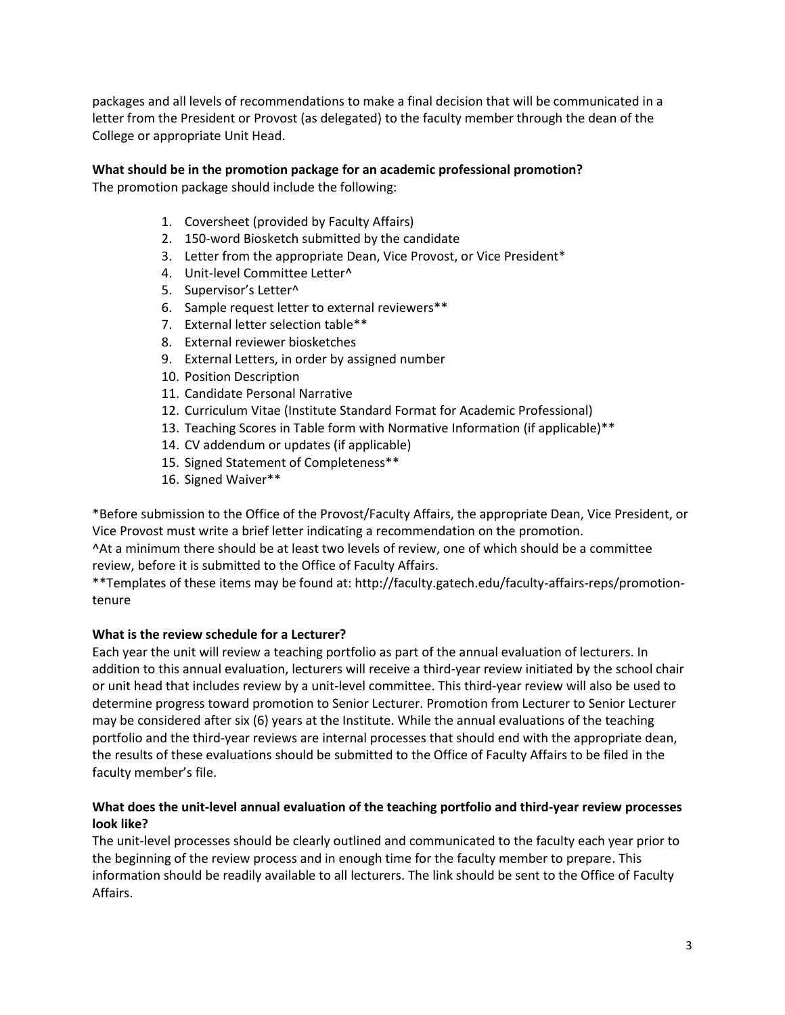packages and all levels of recommendations to make a final decision that will be communicated in a letter from the President or Provost (as delegated) to the faculty member through the dean of the College or appropriate Unit Head.

# **What should be in the promotion package for an academic professional promotion?**

The promotion package should include the following:

- 1. Coversheet (provided by Faculty Affairs)
- 2. 150-word Biosketch submitted by the candidate
- 3. Letter from the appropriate Dean, Vice Provost, or Vice President\*
- 4. Unit-level Committee Letter^
- 5. Supervisor's Letter^
- 6. Sample request letter to external reviewers\*\*
- 7. External letter selection table\*\*
- 8. External reviewer biosketches
- 9. External Letters, in order by assigned number
- 10. Position Description
- 11. Candidate Personal Narrative
- 12. Curriculum Vitae (Institute Standard Format for Academic Professional)
- 13. Teaching Scores in Table form with Normative Information (if applicable)\*\*
- 14. CV addendum or updates (if applicable)
- 15. Signed Statement of Completeness\*\*
- 16. Signed Waiver\*\*

\*Before submission to the Office of the Provost/Faculty Affairs, the appropriate Dean, Vice President, or Vice Provost must write a brief letter indicating a recommendation on the promotion.

^At a minimum there should be at least two levels of review, one of which should be a committee review, before it is submitted to the Office of Faculty Affairs.

\*\*Templates of these items may be found at: http://faculty.gatech.edu/faculty-affairs-reps/promotiontenure

## **What is the review schedule for a Lecturer?**

Each year the unit will review a teaching portfolio as part of the annual evaluation of lecturers. In addition to this annual evaluation, lecturers will receive a third-year review initiated by the school chair or unit head that includes review by a unit-level committee. This third-year review will also be used to determine progress toward promotion to Senior Lecturer. Promotion from Lecturer to Senior Lecturer may be considered after six (6) years at the Institute. While the annual evaluations of the teaching portfolio and the third-year reviews are internal processes that should end with the appropriate dean, the results of these evaluations should be submitted to the Office of Faculty Affairs to be filed in the faculty member's file.

# **What does the unit-level annual evaluation of the teaching portfolio and third-year review processes look like?**

The unit-level processes should be clearly outlined and communicated to the faculty each year prior to the beginning of the review process and in enough time for the faculty member to prepare. This information should be readily available to all lecturers. The link should be sent to the Office of Faculty Affairs.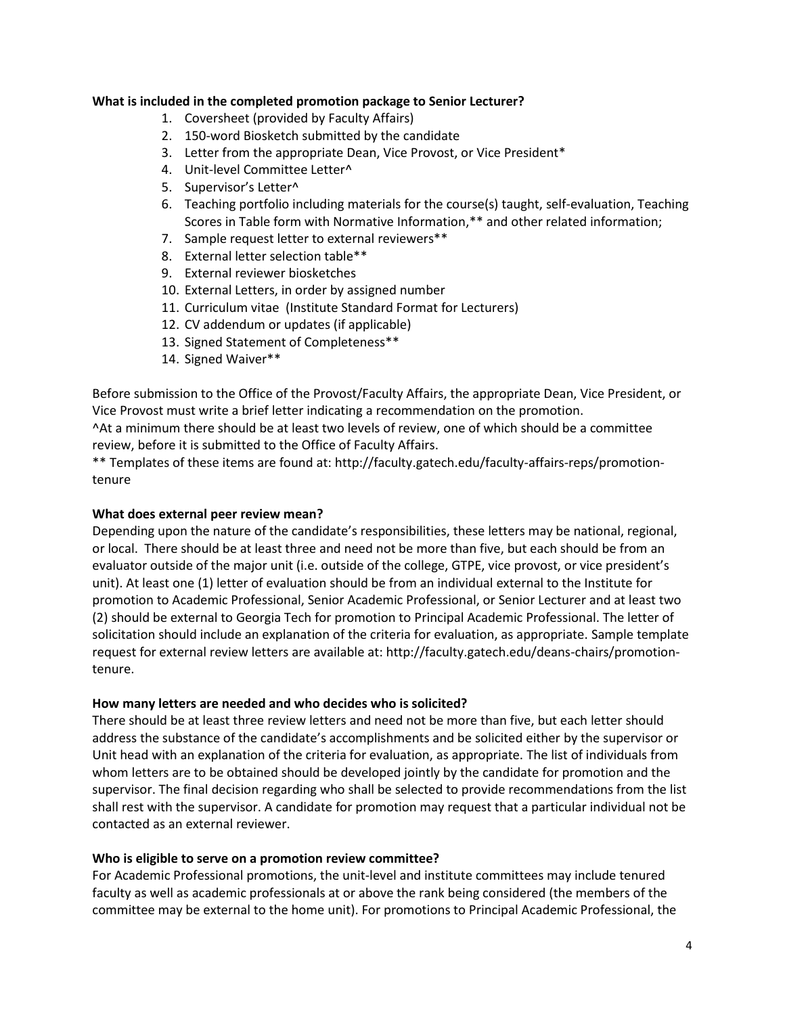### **What is included in the completed promotion package to Senior Lecturer?**

- 1. Coversheet (provided by Faculty Affairs)
- 2. 150-word Biosketch submitted by the candidate
- 3. Letter from the appropriate Dean, Vice Provost, or Vice President\*
- 4. Unit-level Committee Letter^
- 5. Supervisor's Letter^
- 6. Teaching portfolio including materials for the course(s) taught, self-evaluation, Teaching Scores in Table form with Normative Information,\*\* and other related information;
- 7. Sample request letter to external reviewers\*\*
- 8. External letter selection table\*\*
- 9. External reviewer biosketches
- 10. External Letters, in order by assigned number
- 11. Curriculum vitae (Institute Standard Format for Lecturers)
- 12. CV addendum or updates (if applicable)
- 13. Signed Statement of Completeness\*\*
- 14. Signed Waiver\*\*

Before submission to the Office of the Provost/Faculty Affairs, the appropriate Dean, Vice President, or Vice Provost must write a brief letter indicating a recommendation on the promotion.

^At a minimum there should be at least two levels of review, one of which should be a committee review, before it is submitted to the Office of Faculty Affairs.

\*\* Templates of these items are found at: http://faculty.gatech.edu/faculty-affairs-reps/promotiontenure

#### **What does external peer review mean?**

Depending upon the nature of the candidate's responsibilities, these letters may be national, regional, or local. There should be at least three and need not be more than five, but each should be from an evaluator outside of the major unit (i.e. outside of the college, GTPE, vice provost, or vice president's unit). At least one (1) letter of evaluation should be from an individual external to the Institute for promotion to Academic Professional, Senior Academic Professional, or Senior Lecturer and at least two (2) should be external to Georgia Tech for promotion to Principal Academic Professional. The letter of solicitation should include an explanation of the criteria for evaluation, as appropriate. Sample template request for external review letters are available at: http://faculty.gatech.edu/deans-chairs/promotiontenure.

#### **How many letters are needed and who decides who is solicited?**

There should be at least three review letters and need not be more than five, but each letter should address the substance of the candidate's accomplishments and be solicited either by the supervisor or Unit head with an explanation of the criteria for evaluation, as appropriate. The list of individuals from whom letters are to be obtained should be developed jointly by the candidate for promotion and the supervisor. The final decision regarding who shall be selected to provide recommendations from the list shall rest with the supervisor. A candidate for promotion may request that a particular individual not be contacted as an external reviewer.

#### **Who is eligible to serve on a promotion review committee?**

For Academic Professional promotions, the unit-level and institute committees may include tenured faculty as well as academic professionals at or above the rank being considered (the members of the committee may be external to the home unit). For promotions to Principal Academic Professional, the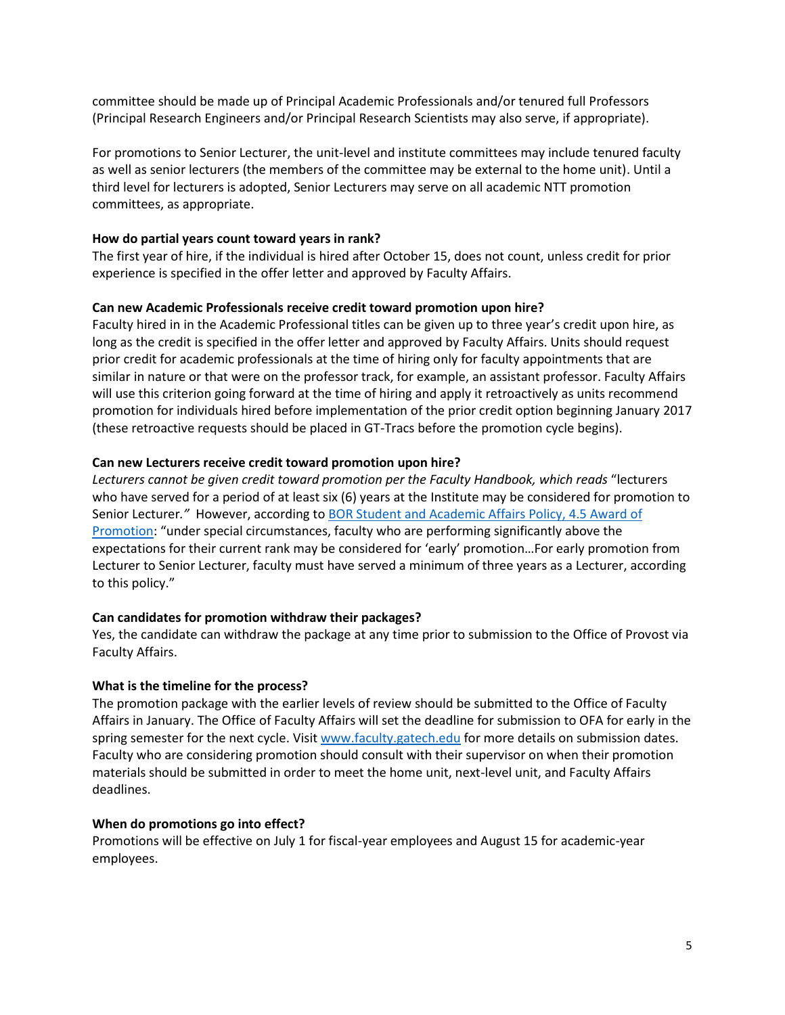committee should be made up of Principal Academic Professionals and/or tenured full Professors (Principal Research Engineers and/or Principal Research Scientists may also serve, if appropriate).

For promotions to Senior Lecturer, the unit-level and institute committees may include tenured faculty as well as senior lecturers (the members of the committee may be external to the home unit). Until a third level for lecturers is adopted, Senior Lecturers may serve on all academic NTT promotion committees, as appropriate.

## **How do partial years count toward years in rank?**

The first year of hire, if the individual is hired after October 15, does not count, unless credit for prior experience is specified in the offer letter and approved by Faculty Affairs.

## **Can new Academic Professionals receive credit toward promotion upon hire?**

Faculty hired in in the Academic Professional titles can be given up to three year's credit upon hire, as long as the credit is specified in the offer letter and approved by Faculty Affairs. Units should request prior credit for academic professionals at the time of hiring only for faculty appointments that are similar in nature or that were on the professor track, for example, an assistant professor. Faculty Affairs will use this criterion going forward at the time of hiring and apply it retroactively as units recommend promotion for individuals hired before implementation of the prior credit option beginning January 2017 (these retroactive requests should be placed in GT-Tracs before the promotion cycle begins).

### **Can new Lecturers receive credit toward promotion upon hire?**

*Lecturers cannot be given credit toward promotion per the Faculty Handbook, which reads* "lecturers who have served for a period of at least six (6) years at the Institute may be considered for promotion to Senior Lecturer*."* However, according to [BOR Student and Academic Affairs](https://www.usg.edu/academic_affairs_handbook/section4/C689) Policy, 4.5 Award of [Promotion](https://www.usg.edu/academic_affairs_handbook/section4/C689): "under special circumstances, faculty who are performing significantly above the expectations for their current rank may be considered for 'early' promotion…For early promotion from Lecturer to Senior Lecturer, faculty must have served a minimum of three years as a Lecturer, according to this policy."

## **Can candidates for promotion withdraw their packages?**

Yes, the candidate can withdraw the package at any time prior to submission to the Office of Provost via Faculty Affairs.

#### **What is the timeline for the process?**

The promotion package with the earlier levels of review should be submitted to the Office of Faculty Affairs in January. The Office of Faculty Affairs will set the deadline for submission to OFA for early in the spring semester for the next cycle. Visit [www.faculty.gatech.edu](http://www.faculty.gatech.edu/) for more details on submission dates. Faculty who are considering promotion should consult with their supervisor on when their promotion materials should be submitted in order to meet the home unit, next-level unit, and Faculty Affairs deadlines.

## **When do promotions go into effect?**

Promotions will be effective on July 1 for fiscal-year employees and August 15 for academic-year employees.